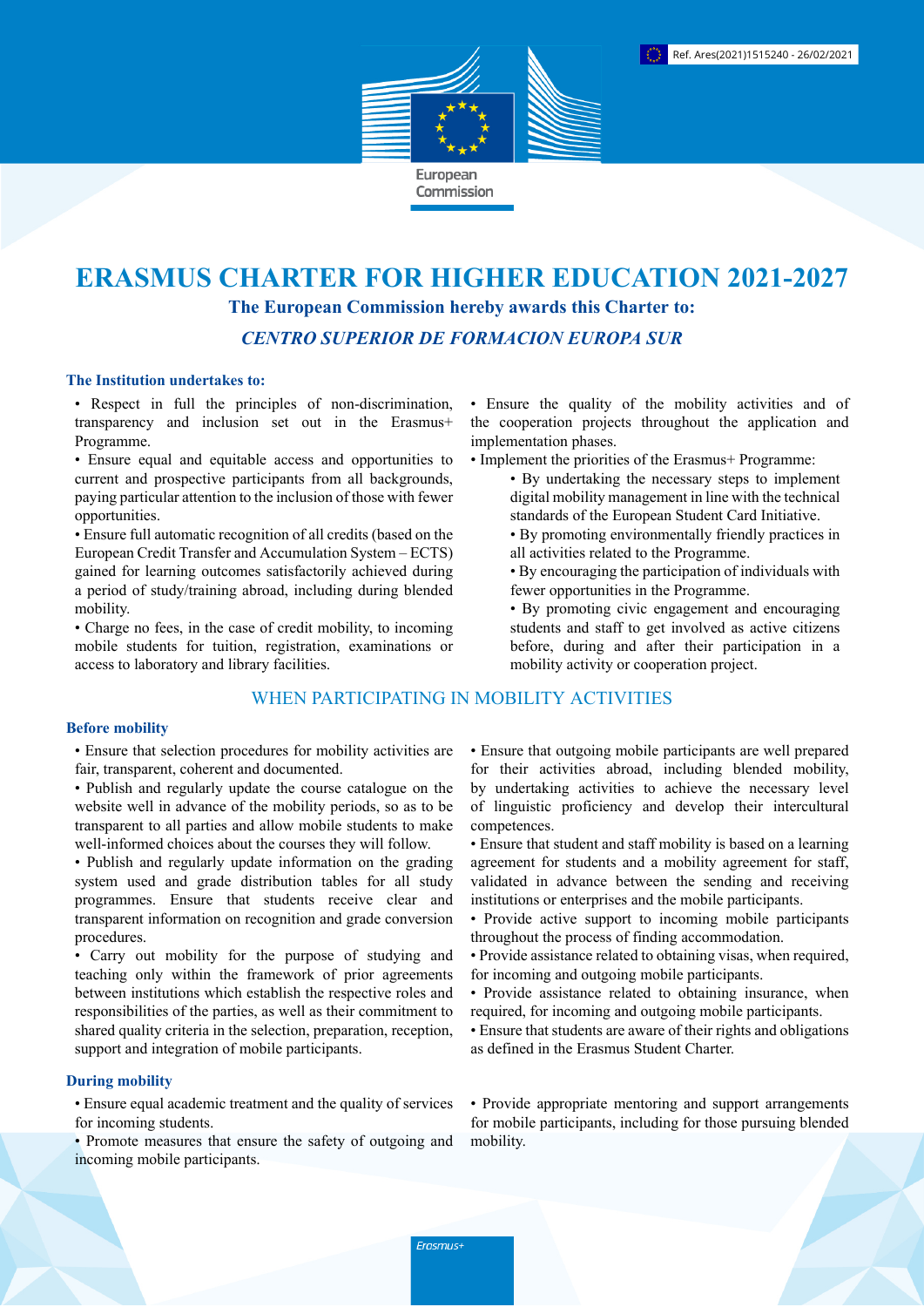

# **ERASMUS CHARTER FOR HIGHER EDUCATION 2021-2027 The European Commission hereby awards this Charter to:**

*CENTRO SUPERIOR DE FORMACION EUROPA SUR*

### **The Institution undertakes to:**

• Respect in full the principles of non-discrimination, transparency and inclusion set out in the Erasmus+ Programme.

• Ensure equal and equitable access and opportunities to current and prospective participants from all backgrounds, paying particular attention to the inclusion of those with fewer opportunities.

• Ensure full automatic recognition of all credits (based on the European Credit Transfer and Accumulation System – ECTS) gained for learning outcomes satisfactorily achieved during a period of study/training abroad, including during blended mobility.

• Charge no fees, in the case of credit mobility, to incoming mobile students for tuition, registration, examinations or access to laboratory and library facilities.

# WHEN PARTICIPATING IN MOBILITY ACTIVITIES

#### **Before mobility**

• Ensure that selection procedures for mobility activities are fair, transparent, coherent and documented.

- Publish and regularly update the course catalogue on the website well in advance of the mobility periods, so as to be transparent to all parties and allow mobile students to make well-informed choices about the courses they will follow.
- Publish and regularly update information on the grading system used and grade distribution tables for all study programmes. Ensure that students receive clear and transparent information on recognition and grade conversion procedures.

• Carry out mobility for the purpose of studying and teaching only within the framework of prior agreements between institutions which establish the respective roles and responsibilities of the parties, as well as their commitment to shared quality criteria in the selection, preparation, reception, support and integration of mobile participants.

#### **During mobility**

• Ensure equal academic treatment and the quality of services for incoming students.

• Promote measures that ensure the safety of outgoing and incoming mobile participants.

• Ensure the quality of the mobility activities and of the cooperation projects throughout the application and implementation phases.

- Implement the priorities of the Erasmus+ Programme:
	- By undertaking the necessary steps to implement digital mobility management in line with the technical standards of the European Student Card Initiative.
	- By promoting environmentally friendly practices in all activities related to the Programme.
	- By encouraging the participation of individuals with fewer opportunities in the Programme.
	- By promoting civic engagement and encouraging students and staff to get involved as active citizens before, during and after their participation in a mobility activity or cooperation project.

• Ensure that outgoing mobile participants are well prepared for their activities abroad, including blended mobility, by undertaking activities to achieve the necessary level of linguistic proficiency and develop their intercultural competences.

- Ensure that student and staff mobility is based on a learning agreement for students and a mobility agreement for staff, validated in advance between the sending and receiving institutions or enterprises and the mobile participants.
- Provide active support to incoming mobile participants throughout the process of finding accommodation.
- Provide assistance related to obtaining visas, when required, for incoming and outgoing mobile participants.
- Provide assistance related to obtaining insurance, when required, for incoming and outgoing mobile participants.
- Ensure that students are aware of their rights and obligations as defined in the Erasmus Student Charter.

• Provide appropriate mentoring and support arrangements for mobile participants, including for those pursuing blended mobility.

Erasmus+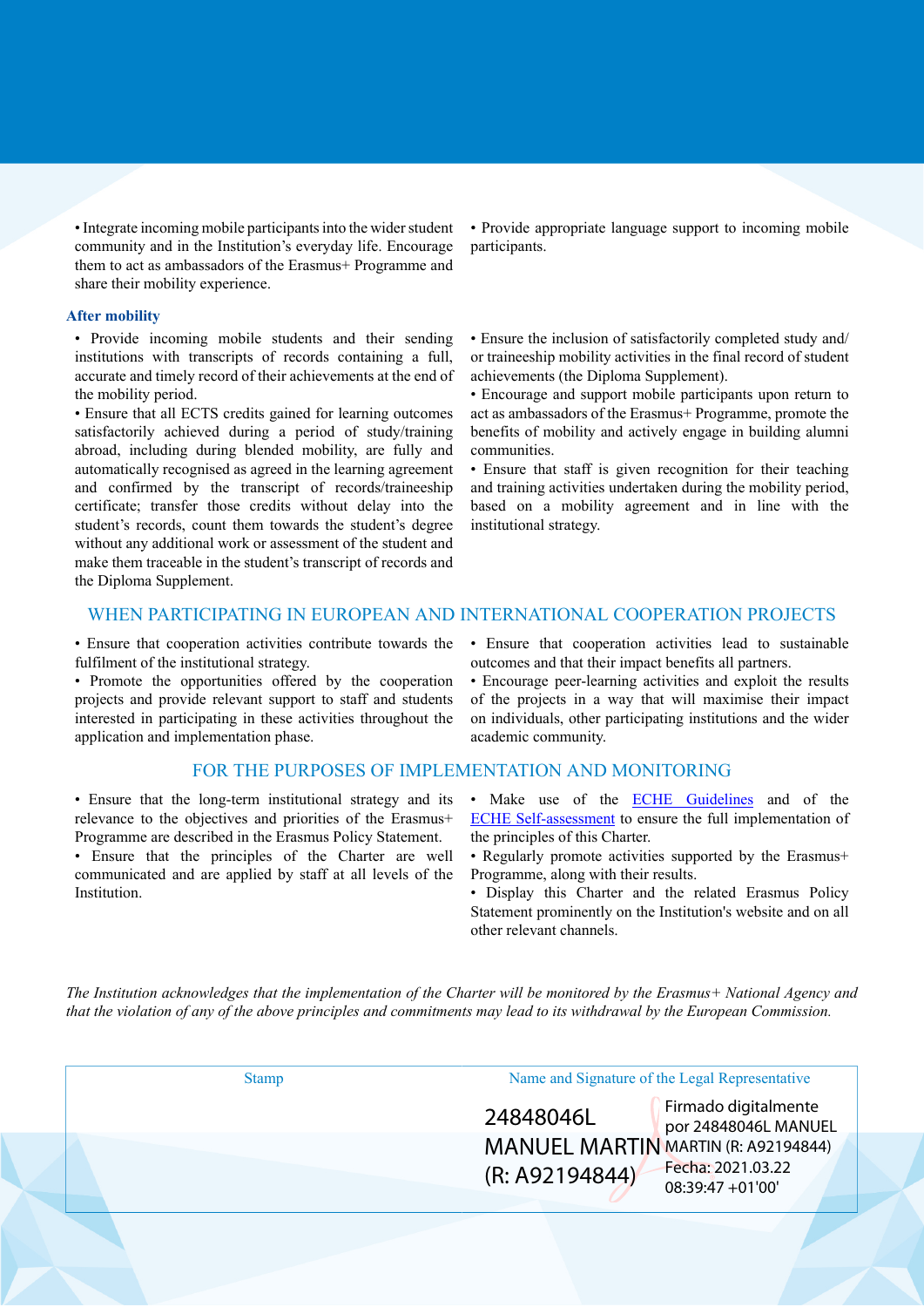• Integrate incoming mobile participants into the wider student community and in the Institution's everyday life. Encourage them to act as ambassadors of the Erasmus+ Programme and share their mobility experience.

#### **After mobility**

• Provide incoming mobile students and their sending institutions with transcripts of records containing a full, accurate and timely record of their achievements at the end of the mobility period.

• Ensure that all ECTS credits gained for learning outcomes satisfactorily achieved during a period of study/training abroad, including during blended mobility, are fully and automatically recognised as agreed in the learning agreement and confirmed by the transcript of records/traineeship certificate; transfer those credits without delay into the student's records, count them towards the student's degree without any additional work or assessment of the student and make them traceable in the student's transcript of records and the Diploma Supplement.

• Provide appropriate language support to incoming mobile participants.

• Ensure the inclusion of satisfactorily completed study and/ or traineeship mobility activities in the final record of student achievements (the Diploma Supplement).

• Encourage and support mobile participants upon return to act as ambassadors of the Erasmus+ Programme, promote the benefits of mobility and actively engage in building alumni communities.

• Ensure that staff is given recognition for their teaching and training activities undertaken during the mobility period, based on a mobility agreement and in line with the institutional strategy.

## WHEN PARTICIPATING IN EUROPEAN AND INTERNATIONAL COOPERATION PROJECTS

• Ensure that cooperation activities contribute towards the fulfilment of the institutional strategy.

• Promote the opportunities offered by the cooperation projects and provide relevant support to staff and students interested in participating in these activities throughout the application and implementation phase.

#### FOR THE PURPOSES OF IMPLEMENTATION AND MONITORING

• Ensure that the long-term institutional strategy and its relevance to the objectives and priorities of the Erasmus+ Programme are described in the Erasmus Policy Statement.

• Ensure that the principles of the Charter are well communicated and are applied by staff at all levels of the Institution.

• Ensure that cooperation activities lead to sustainable outcomes and that their impact benefits all partners.

• Encourage peer-learning activities and exploit the results of the projects in a way that will maximise their impact on individuals, other participating institutions and the wider academic community.

- Make use of the **ECHE Guidelines** and of the [ECHE Self-assessment](https://ec.europa.eu/programmes/erasmus-plus/eche/start_en) to ensure the full implementation of the principles of this Charter.
- Regularly promote activities supported by the Erasmus+ Programme, along with their results.
- Display this Charter and the related Erasmus Policy Statement prominently on the Institution's website and on all other relevant channels.

The Institution acknowledges that the implementation of the Charter will be monitored by the Erasmus+ National Agency and that the violation of any of the above principles and commitments may lead to its withdrawal by the European Commission.

| <b>Stamp</b> | Name and Signature of the Legal Representative |                                              |  |
|--------------|------------------------------------------------|----------------------------------------------|--|
|              | 24848046L                                      | Firmado digitalmente<br>por 24848046L MANUEL |  |
|              | <b>MANUEL MARTIN MARTIN (R: A92194844)</b>     |                                              |  |
|              | (R: A92194844)                                 | Fecha: 2021.03.22<br>08:39:47 +01'00'        |  |
|              |                                                |                                              |  |